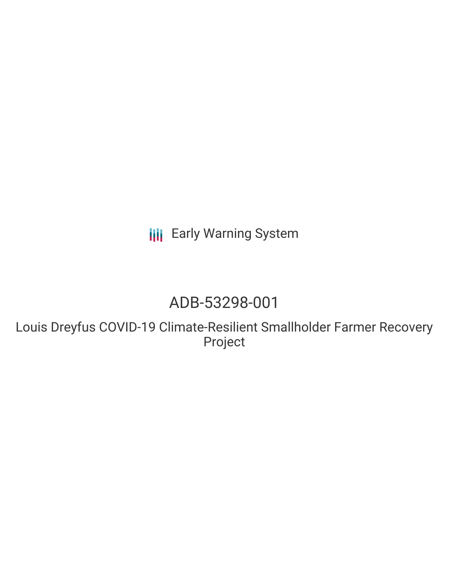**III** Early Warning System

## ADB-53298-001

Louis Dreyfus COVID-19 Climate-Resilient Smallholder Farmer Recovery Project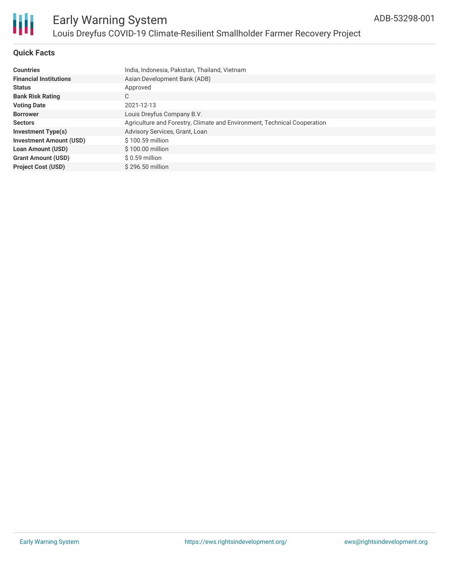

### **Quick Facts**

| <b>Countries</b>               | India, Indonesia, Pakistan, Thailand, Vietnam                            |  |  |  |  |
|--------------------------------|--------------------------------------------------------------------------|--|--|--|--|
| <b>Financial Institutions</b>  | Asian Development Bank (ADB)                                             |  |  |  |  |
| <b>Status</b>                  | Approved                                                                 |  |  |  |  |
| <b>Bank Risk Rating</b>        | C                                                                        |  |  |  |  |
| <b>Voting Date</b>             | 2021-12-13                                                               |  |  |  |  |
| <b>Borrower</b>                | Louis Dreyfus Company B.V.                                               |  |  |  |  |
| <b>Sectors</b>                 | Agriculture and Forestry, Climate and Environment, Technical Cooperation |  |  |  |  |
| <b>Investment Type(s)</b>      | Advisory Services, Grant, Loan                                           |  |  |  |  |
| <b>Investment Amount (USD)</b> | $$100.59$ million                                                        |  |  |  |  |
| <b>Loan Amount (USD)</b>       | $$100.00$ million                                                        |  |  |  |  |
| <b>Grant Amount (USD)</b>      | \$ 0.59 million                                                          |  |  |  |  |
| <b>Project Cost (USD)</b>      | \$296.50 million                                                         |  |  |  |  |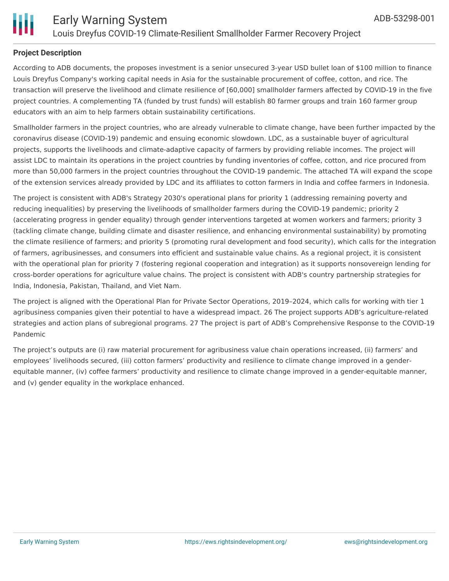

### **Project Description**

According to ADB documents, the proposes investment is a senior unsecured 3-year USD bullet loan of \$100 million to finance Louis Dreyfus Company's working capital needs in Asia for the sustainable procurement of coffee, cotton, and rice. The transaction will preserve the livelihood and climate resilience of [60,000] smallholder farmers affected by COVID-19 in the five project countries. A complementing TA (funded by trust funds) will establish 80 farmer groups and train 160 farmer group educators with an aim to help farmers obtain sustainability certifications.

Smallholder farmers in the project countries, who are already vulnerable to climate change, have been further impacted by the coronavirus disease (COVID-19) pandemic and ensuing economic slowdown. LDC, as a sustainable buyer of agricultural projects, supports the livelihoods and climate-adaptive capacity of farmers by providing reliable incomes. The project will assist LDC to maintain its operations in the project countries by funding inventories of coffee, cotton, and rice procured from more than 50,000 farmers in the project countries throughout the COVID-19 pandemic. The attached TA will expand the scope of the extension services already provided by LDC and its affiliates to cotton farmers in India and coffee farmers in Indonesia.

The project is consistent with ADB's Strategy 2030's operational plans for priority 1 (addressing remaining poverty and reducing inequalities) by preserving the livelihoods of smallholder farmers during the COVID-19 pandemic; priority 2 (accelerating progress in gender equality) through gender interventions targeted at women workers and farmers; priority 3 (tackling climate change, building climate and disaster resilience, and enhancing environmental sustainability) by promoting the climate resilience of farmers; and priority 5 (promoting rural development and food security), which calls for the integration of farmers, agribusinesses, and consumers into efficient and sustainable value chains. As a regional project, it is consistent with the operational plan for priority 7 (fostering regional cooperation and integration) as it supports nonsovereign lending for cross-border operations for agriculture value chains. The project is consistent with ADB's country partnership strategies for India, Indonesia, Pakistan, Thailand, and Viet Nam.

The project is aligned with the Operational Plan for Private Sector Operations, 2019–2024, which calls for working with tier 1 agribusiness companies given their potential to have a widespread impact. 26 The project supports ADB's agriculture-related strategies and action plans of subregional programs. 27 The project is part of ADB's Comprehensive Response to the COVID-19 Pandemic

The project's outputs are (i) raw material procurement for agribusiness value chain operations increased, (ii) farmers' and employees' livelihoods secured, (iii) cotton farmers' productivity and resilience to climate change improved in a genderequitable manner, (iv) coffee farmers' productivity and resilience to climate change improved in a gender-equitable manner, and (v) gender equality in the workplace enhanced.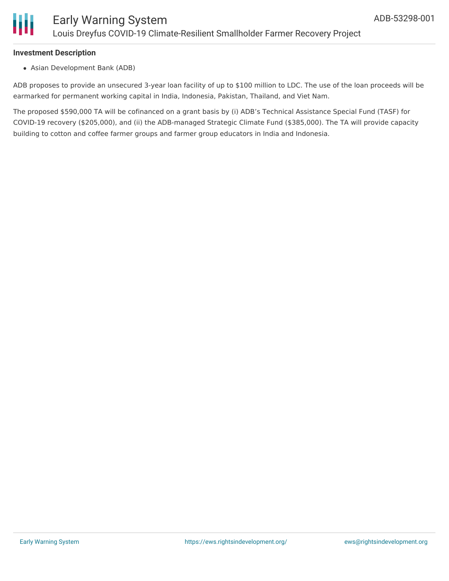

### **Investment Description**

Asian Development Bank (ADB)

ADB proposes to provide an unsecured 3-year loan facility of up to \$100 million to LDC. The use of the loan proceeds will be earmarked for permanent working capital in India, Indonesia, Pakistan, Thailand, and Viet Nam.

The proposed \$590,000 TA will be cofinanced on a grant basis by (i) ADB's Technical Assistance Special Fund (TASF) for COVID-19 recovery (\$205,000), and (ii) the ADB-managed Strategic Climate Fund (\$385,000). The TA will provide capacity building to cotton and coffee farmer groups and farmer group educators in India and Indonesia.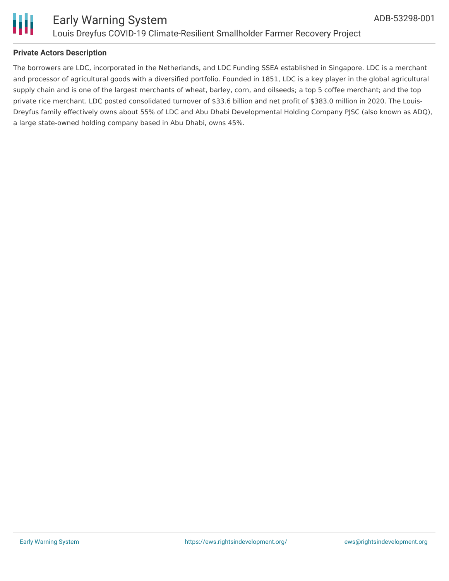

### **Private Actors Description**

The borrowers are LDC, incorporated in the Netherlands, and LDC Funding SSEA established in Singapore. LDC is a merchant and processor of agricultural goods with a diversified portfolio. Founded in 1851, LDC is a key player in the global agricultural supply chain and is one of the largest merchants of wheat, barley, corn, and oilseeds; a top 5 coffee merchant; and the top private rice merchant. LDC posted consolidated turnover of \$33.6 billion and net profit of \$383.0 million in 2020. The Louis-Dreyfus family effectively owns about 55% of LDC and Abu Dhabi Developmental Holding Company PJSC (also known as ADQ), a large state-owned holding company based in Abu Dhabi, owns 45%.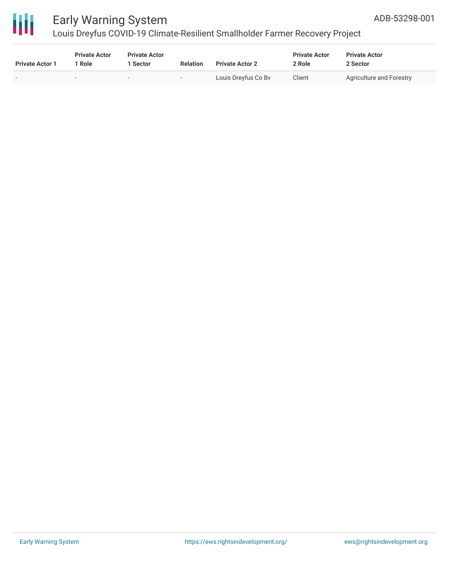

# 冊

### Early Warning System

Louis Dreyfus COVID-19 Climate-Resilient Smallholder Farmer Recovery Project

| <b>Private Actor 1</b> | <b>Private Actor</b><br>l Role | <b>Private Actor</b><br><b>Sector</b> | <b>Relation</b> | <b>Private Actor 2</b> | <b>Private Actor</b><br>2 Role | <b>Private Actor</b><br>2 Sector |
|------------------------|--------------------------------|---------------------------------------|-----------------|------------------------|--------------------------------|----------------------------------|
| $\sim$                 | -                              | $\sim$                                |                 | Louis Dreyfus Co Bv    | Client                         | <b>Agriculture and Forestry</b>  |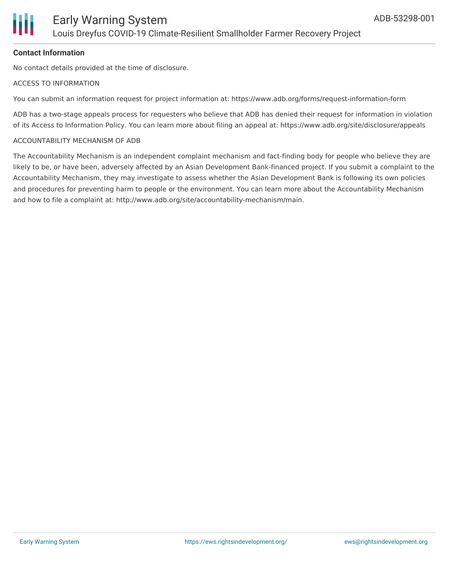

### **Contact Information**

No contact details provided at the time of disclosure.

### ACCESS TO INFORMATION

You can submit an information request for project information at: https://www.adb.org/forms/request-information-form

ADB has a two-stage appeals process for requesters who believe that ADB has denied their request for information in violation of its Access to Information Policy. You can learn more about filing an appeal at: https://www.adb.org/site/disclosure/appeals

### ACCOUNTABILITY MECHANISM OF ADB

The Accountability Mechanism is an independent complaint mechanism and fact-finding body for people who believe they are likely to be, or have been, adversely affected by an Asian Development Bank-financed project. If you submit a complaint to the Accountability Mechanism, they may investigate to assess whether the Asian Development Bank is following its own policies and procedures for preventing harm to people or the environment. You can learn more about the Accountability Mechanism and how to file a complaint at: http://www.adb.org/site/accountability-mechanism/main.